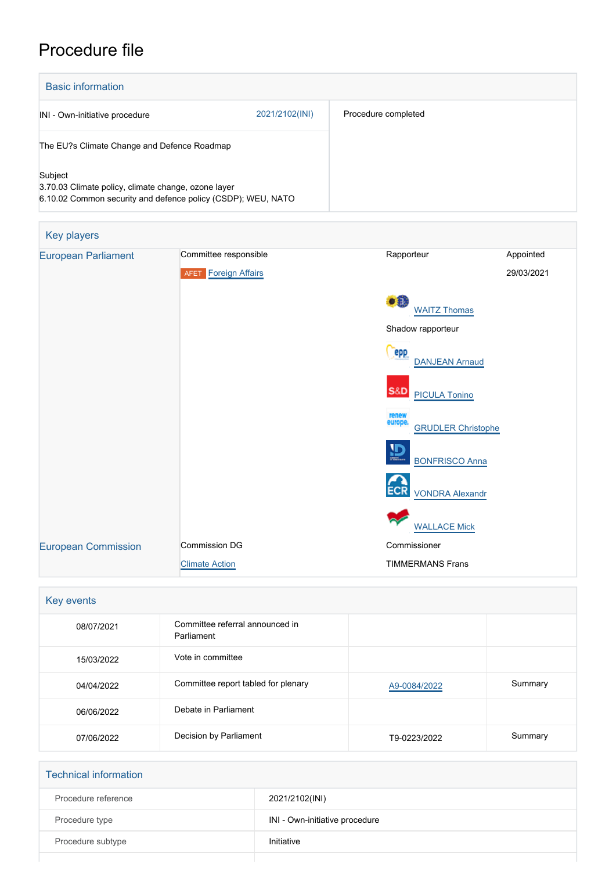# Procedure file

| <b>Basic information</b>                                                                                                       |                |                     |
|--------------------------------------------------------------------------------------------------------------------------------|----------------|---------------------|
| INI - Own-initiative procedure                                                                                                 | 2021/2102(INI) | Procedure completed |
| The EU?s Climate Change and Defence Roadmap                                                                                    |                |                     |
| Subject<br>3.70.03 Climate policy, climate change, ozone layer<br>6.10.02 Common security and defence policy (CSDP); WEU, NATO |                |                     |

| Key players                |                             |                                               |            |
|----------------------------|-----------------------------|-----------------------------------------------|------------|
| <b>European Parliament</b> | Committee responsible       | Rapporteur                                    | Appointed  |
|                            | <b>AFET Foreign Affairs</b> |                                               | 29/03/2021 |
|                            |                             | $\bullet$<br><b>WAITZ Thomas</b>              |            |
| Shadow rapporteur          |                             |                                               |            |
|                            |                             | epp<br><b>DANJEAN Arnaud</b>                  |            |
|                            |                             | <b>S&amp;D</b><br><b>PICULA Tonino</b>        |            |
|                            |                             | renew<br>europe.<br><b>GRUDLER</b> Christophe |            |
|                            |                             | $\mathbf{D}$<br><b>BONFRISCO Anna</b>         |            |
|                            |                             | <b>ECR</b><br><b>VONDRA Alexandr</b>          |            |
|                            |                             | <b>WALLACE Mick</b>                           |            |
| <b>European Commission</b> | <b>Commission DG</b>        | Commissioner                                  |            |
|                            | <b>Climate Action</b>       | <b>TIMMERMANS Frans</b>                       |            |

| Key events |                                               |              |         |
|------------|-----------------------------------------------|--------------|---------|
| 08/07/2021 | Committee referral announced in<br>Parliament |              |         |
| 15/03/2022 | Vote in committee                             |              |         |
| 04/04/2022 | Committee report tabled for plenary           | A9-0084/2022 | Summary |
| 06/06/2022 | Debate in Parliament                          |              |         |
| 07/06/2022 | Decision by Parliament                        | T9-0223/2022 | Summary |

| <b>Technical information</b> |                                |
|------------------------------|--------------------------------|
| Procedure reference          | 2021/2102(INI)                 |
| Procedure type               | INI - Own-initiative procedure |
| Procedure subtype            | Initiative                     |
|                              |                                |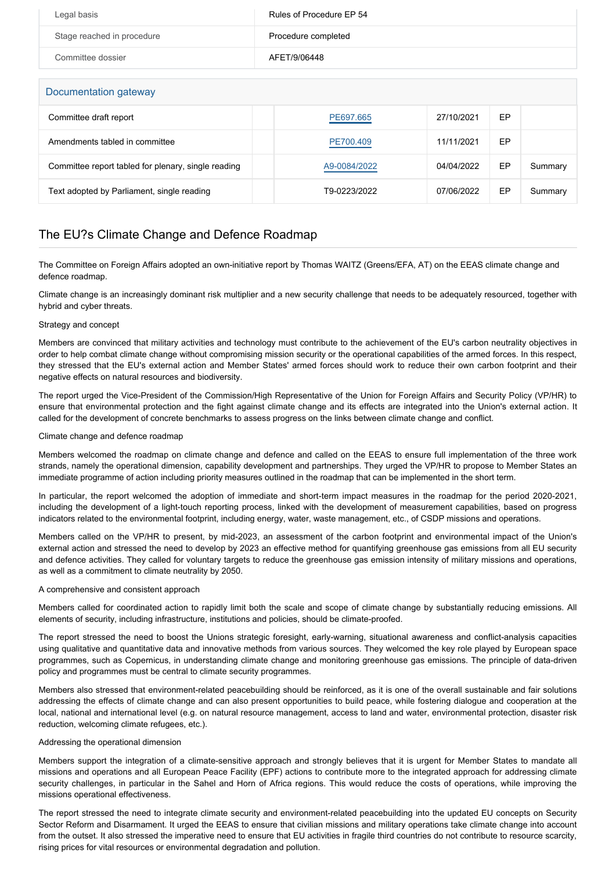| Legal basis                | Rules of Procedure EP 54 |
|----------------------------|--------------------------|
| Stage reached in procedure | Procedure completed      |
| Committee dossier          | AFET/9/06448             |

### Documentation gateway

| DUCUMENTATION GALEWAY                               |              |            |    |         |
|-----------------------------------------------------|--------------|------------|----|---------|
| Committee draft report                              | PE697.665    | 27/10/2021 | EP |         |
| Amendments tabled in committee                      | PE700.409    | 11/11/2021 | EP |         |
| Committee report tabled for plenary, single reading | A9-0084/2022 | 04/04/2022 | EP | Summary |
| Text adopted by Parliament, single reading          | T9-0223/2022 | 07/06/2022 | EP | Summary |

## The EU?s Climate Change and Defence Roadmap

The Committee on Foreign Affairs adopted an own-initiative report by Thomas WAITZ (Greens/EFA, AT) on the EEAS climate change and defence roadmap.

Climate change is an increasingly dominant risk multiplier and a new security challenge that needs to be adequately resourced, together with hybrid and cyber threats.

#### Strategy and concept

Members are convinced that military activities and technology must contribute to the achievement of the EU's carbon neutrality objectives in order to help combat climate change without compromising mission security or the operational capabilities of the armed forces. In this respect, they stressed that the EU's external action and Member States' armed forces should work to reduce their own carbon footprint and their negative effects on natural resources and biodiversity.

The report urged the Vice-President of the Commission/High Representative of the Union for Foreign Affairs and Security Policy (VP/HR) to ensure that environmental protection and the fight against climate change and its effects are integrated into the Union's external action. It called for the development of concrete benchmarks to assess progress on the links between climate change and conflict.

#### Climate change and defence roadmap

Members welcomed the roadmap on climate change and defence and called on the EEAS to ensure full implementation of the three work strands, namely the operational dimension, capability development and partnerships. They urged the VP/HR to propose to Member States an immediate programme of action including priority measures outlined in the roadmap that can be implemented in the short term.

In particular, the report welcomed the adoption of immediate and short-term impact measures in the roadmap for the period 2020-2021, including the development of a light-touch reporting process, linked with the development of measurement capabilities, based on progress indicators related to the environmental footprint, including energy, water, waste management, etc., of CSDP missions and operations.

Members called on the VP/HR to present, by mid-2023, an assessment of the carbon footprint and environmental impact of the Union's external action and stressed the need to develop by 2023 an effective method for quantifying greenhouse gas emissions from all EU security and defence activities. They called for voluntary targets to reduce the greenhouse gas emission intensity of military missions and operations, as well as a commitment to climate neutrality by 2050.

#### A comprehensive and consistent approach

Members called for coordinated action to rapidly limit both the scale and scope of climate change by substantially reducing emissions. All elements of security, including infrastructure, institutions and policies, should be climate-proofed.

The report stressed the need to boost the Unions strategic foresight, early-warning, situational awareness and conflict-analysis capacities using qualitative and quantitative data and innovative methods from various sources. They welcomed the key role played by European space programmes, such as Copernicus, in understanding climate change and monitoring greenhouse gas emissions. The principle of data-driven policy and programmes must be central to climate security programmes.

Members also stressed that environment-related peacebuilding should be reinforced, as it is one of the overall sustainable and fair solutions addressing the effects of climate change and can also present opportunities to build peace, while fostering dialogue and cooperation at the local, national and international level (e.g. on natural resource management, access to land and water, environmental protection, disaster risk reduction, welcoming climate refugees, etc.).

#### Addressing the operational dimension

Members support the integration of a climate-sensitive approach and strongly believes that it is urgent for Member States to mandate all missions and operations and all European Peace Facility (EPF) actions to contribute more to the integrated approach for addressing climate security challenges, in particular in the Sahel and Horn of Africa regions. This would reduce the costs of operations, while improving the missions operational effectiveness.

The report stressed the need to integrate climate security and environment-related peacebuilding into the updated EU concepts on Security Sector Reform and Disarmament. It urged the EEAS to ensure that civilian missions and military operations take climate change into account from the outset. It also stressed the imperative need to ensure that EU activities in fragile third countries do not contribute to resource scarcity, rising prices for vital resources or environmental degradation and pollution.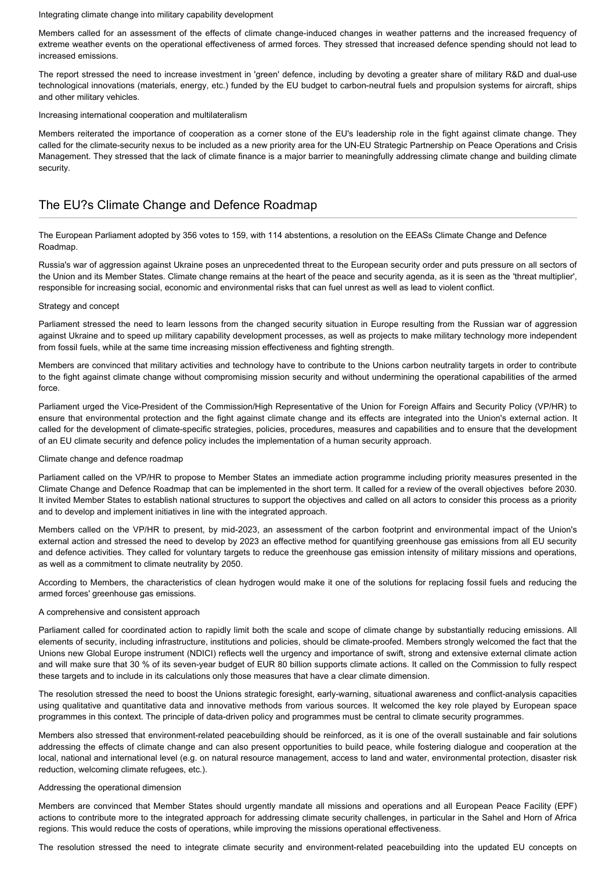Integrating climate change into military capability development

Members called for an assessment of the effects of climate change-induced changes in weather patterns and the increased frequency of extreme weather events on the operational effectiveness of armed forces. They stressed that increased defence spending should not lead to increased emissions.

The report stressed the need to increase investment in 'green' defence, including by devoting a greater share of military R&D and dual-use technological innovations (materials, energy, etc.) funded by the EU budget to carbon-neutral fuels and propulsion systems for aircraft, ships and other military vehicles.

Increasing international cooperation and multilateralism

Members reiterated the importance of cooperation as a corner stone of the EU's leadership role in the fight against climate change. They called for the climate-security nexus to be included as a new priority area for the UN-EU Strategic Partnership on Peace Operations and Crisis Management. They stressed that the lack of climate finance is a major barrier to meaningfully addressing climate change and building climate security.

## The EU?s Climate Change and Defence Roadmap

The European Parliament adopted by 356 votes to 159, with 114 abstentions, a resolution on the EEASs Climate Change and Defence Roadmap.

Russia's war of aggression against Ukraine poses an unprecedented threat to the European security order and puts pressure on all sectors of the Union and its Member States. Climate change remains at the heart of the peace and security agenda, as it is seen as the 'threat multiplier', responsible for increasing social, economic and environmental risks that can fuel unrest as well as lead to violent conflict.

#### Strategy and concept

Parliament stressed the need to learn lessons from the changed security situation in Europe resulting from the Russian war of aggression against Ukraine and to speed up military capability development processes, as well as projects to make military technology more independent from fossil fuels, while at the same time increasing mission effectiveness and fighting strength.

Members are convinced that military activities and technology have to contribute to the Unions carbon neutrality targets in order to contribute to the fight against climate change without compromising mission security and without undermining the operational capabilities of the armed force.

Parliament urged the Vice-President of the Commission/High Representative of the Union for Foreign Affairs and Security Policy (VP/HR) to ensure that environmental protection and the fight against climate change and its effects are integrated into the Union's external action. It called for the development of climate-specific strategies, policies, procedures, measures and capabilities and to ensure that the development of an EU climate security and defence policy includes the implementation of a human security approach.

#### Climate change and defence roadmap

Parliament called on the VP/HR to propose to Member States an immediate action programme including priority measures presented in the Climate Change and Defence Roadmap that can be implemented in the short term. It called for a review of the overall objectives before 2030. It invited Member States to establish national structures to support the objectives and called on all actors to consider this process as a priority and to develop and implement initiatives in line with the integrated approach.

Members called on the VP/HR to present, by mid-2023, an assessment of the carbon footprint and environmental impact of the Union's external action and stressed the need to develop by 2023 an effective method for quantifying greenhouse gas emissions from all EU security and defence activities. They called for voluntary targets to reduce the greenhouse gas emission intensity of military missions and operations, as well as a commitment to climate neutrality by 2050.

According to Members, the characteristics of clean hydrogen would make it one of the solutions for replacing fossil fuels and reducing the armed forces' greenhouse gas emissions.

#### A comprehensive and consistent approach

Parliament called for coordinated action to rapidly limit both the scale and scope of climate change by substantially reducing emissions. All elements of security, including infrastructure, institutions and policies, should be climate-proofed. Members strongly welcomed the fact that the Unions new Global Europe instrument (NDICI) reflects well the urgency and importance of swift, strong and extensive external climate action and will make sure that 30 % of its seven-year budget of EUR 80 billion supports climate actions. It called on the Commission to fully respect these targets and to include in its calculations only those measures that have a clear climate dimension.

The resolution stressed the need to boost the Unions strategic foresight, early-warning, situational awareness and conflict-analysis capacities using qualitative and quantitative data and innovative methods from various sources. It welcomed the key role played by European space programmes in this context. The principle of data-driven policy and programmes must be central to climate security programmes.

Members also stressed that environment-related peacebuilding should be reinforced, as it is one of the overall sustainable and fair solutions addressing the effects of climate change and can also present opportunities to build peace, while fostering dialogue and cooperation at the local, national and international level (e.g. on natural resource management, access to land and water, environmental protection, disaster risk reduction, welcoming climate refugees, etc.).

#### Addressing the operational dimension

Members are convinced that Member States should urgently mandate all missions and operations and all European Peace Facility (EPF) actions to contribute more to the integrated approach for addressing climate security challenges, in particular in the Sahel and Horn of Africa regions. This would reduce the costs of operations, while improving the missions operational effectiveness.

The resolution stressed the need to integrate climate security and environment-related peacebuilding into the updated EU concepts on